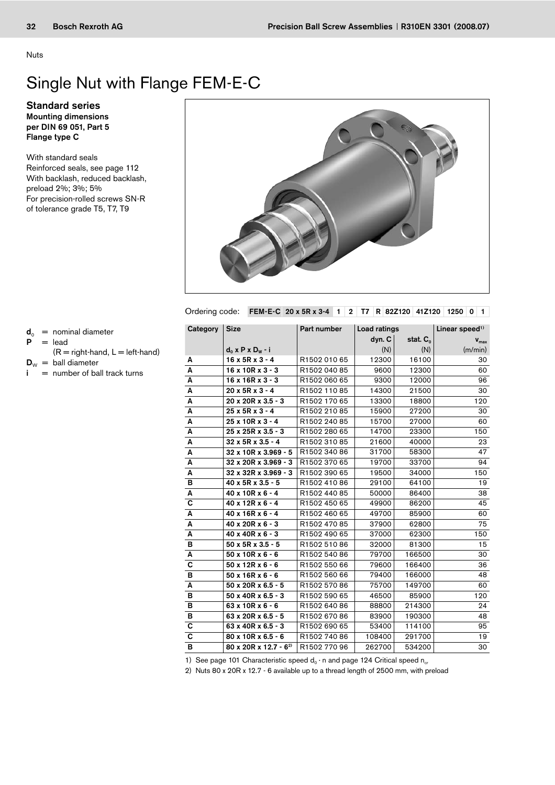Nuts

## Single Nut with Flange FEM-E-C

Mounting dimensions per DIN 69 051, Part 5 Flange type C Standard series

With standard seals Reinforced seals, see page 112 With backlash, reduced backlash, preload 2%; 3%; 5% For precision-rolled screws SN-R of tolerance grade T5, T7, T9



Ordering code: FEM-E-C 20 x 5R x 3-4 1 2 T7 R 82Z120 41Z120 1250 0 1

 $d_0$  = nominal diameter

$$
P = lead
$$

 $(R = right$ -hand,  $L = left$ -hand)

```
D_w = ball diameter
```
 $i =$  number of ball track turns

| Category                | <b>Size</b>                       | Part number  | Load ratings |               | Linear speed <sup>1)</sup> |  |  |
|-------------------------|-----------------------------------|--------------|--------------|---------------|----------------------------|--|--|
|                         |                                   |              | dyn. C       | stat. $C_{0}$ | $V_{\text{max}}$           |  |  |
|                         | $d_0$ x P x D <sub>w</sub> - i    |              | (N)          | (N)           | (m/min)                    |  |  |
| Α                       | $16 \times 5R \times 3 - 4$       | R1502 010 65 | 12300        | 16100         | 30                         |  |  |
| A                       | $16 \times 10R \times 3 - 3$      | R1502 040 85 | 9600         | 12300         | 60                         |  |  |
| А                       | $16 \times 16R \times 3 - 3$      | R1502 060 65 | 9300         | 12000         | 96                         |  |  |
| Α                       | $20x5Rx3 - 4$                     | R1502 110 85 | 14300        | 21500         | 30                         |  |  |
| Α                       | $20 \times 20R \times 3.5 - 3$    | R1502 170 65 | 13300        | 18800         | 120                        |  |  |
| Α                       | $25x5Rx3 - 4$                     | R1502 210 85 | 15900        | 27200         | 30                         |  |  |
| A                       | $25x10Rx3 - 4$                    | R1502 240 85 | 15700        | 27000         | 60                         |  |  |
| Α                       | 25 x 25R x 3.5 - 3                | R1502 280 65 | 14700        | 23300         | 150                        |  |  |
| A                       | $32 \times 5R \times 3.5 - 4$     | R1502 310 85 | 21600        | 40000         | 23                         |  |  |
| A                       | 32 x 10R x 3.969 - 5              | R1502 340 86 | 31700        | 58300         | 47                         |  |  |
| Α                       | $32 \times 20R \times 3.969 - 3$  | R1502 370 65 | 19700        | 33700         | 94                         |  |  |
| Α                       | $32 \times 32R \times 3.969 - 3$  | R1502 390 65 | 19500        | 34000         | 150                        |  |  |
| в                       | 40 x 5R x 3.5 - 5                 | R1502 410 86 | 29100        | 64100         | 19                         |  |  |
| Α                       | $40 \times 10R \times 6 - 4$      | R1502 440 85 | 50000        | 86400         | 38                         |  |  |
| С                       | $40 \times 12R \times 6 - 4$      | R1502 450 65 | 49900        | 86200         | 45                         |  |  |
| A                       | $40 \times 16R \times 6 - 4$      | R1502 460 65 | 49700        | 85900         | 60                         |  |  |
| Α                       | $40 \times 20R \times 6 - 3$      | R1502 470 85 | 37900        | 62800         | 75                         |  |  |
| А                       | $40 \times 40R \times 6 - 3$      | R1502 490 65 | 37000        | 62300         | 150                        |  |  |
| в                       | $50 \times 5R \times 3.5 - 5$     | R1502 510 86 | 32000        | 81300         | 15                         |  |  |
| Α                       | $50x10Rx6 - 6$                    | R1502 540 86 | 79700        | 166500        | 30                         |  |  |
| C                       | $50x12Rx6 - 6$                    | R1502 550 66 | 79600        | 166400        | 36                         |  |  |
| в                       | $50x16Rx6 - 6$                    | R1502 560 66 | 79400        | 166000        | 48                         |  |  |
| А                       | $50 \times 20R \times 6.5 - 5$    | R1502 570 86 | 75700        | 149700        | 60                         |  |  |
| в                       | $50 \times 40R \times 6.5 - 3$    | R1502 590 65 | 46500        | 85900         | 120                        |  |  |
| в                       | $63 \times 10R \times 6 - 6$      | R1502 640 86 | 88800        | 214300        | 24                         |  |  |
| в                       | 63 x 20R x 6.5 - 5                | R1502 670 86 | 83900        | 190300        | 48                         |  |  |
| C                       | 63 x 40R x 6.5 - 3                | R1502 690 65 | 53400        | 114100        | 95                         |  |  |
| $\overline{\mathbf{c}}$ | $80 \times 10R \times 6.5 - 6$    | R1502 740 86 | 108400       | 291700        | 19                         |  |  |
| $\overline{B}$          | 80 x 20R x 12.7 - 6 <sup>2)</sup> | R1502 770 96 | 262700       | 534200        | 30                         |  |  |

1) See page 101 Characteristic speed  $d_0 \cdot n$  and page 124 Critical speed  $n_{cr}$ 

2) Nuts 80 x 20R x 12.7 - 6 available up to a thread length of 2500 mm, with preload